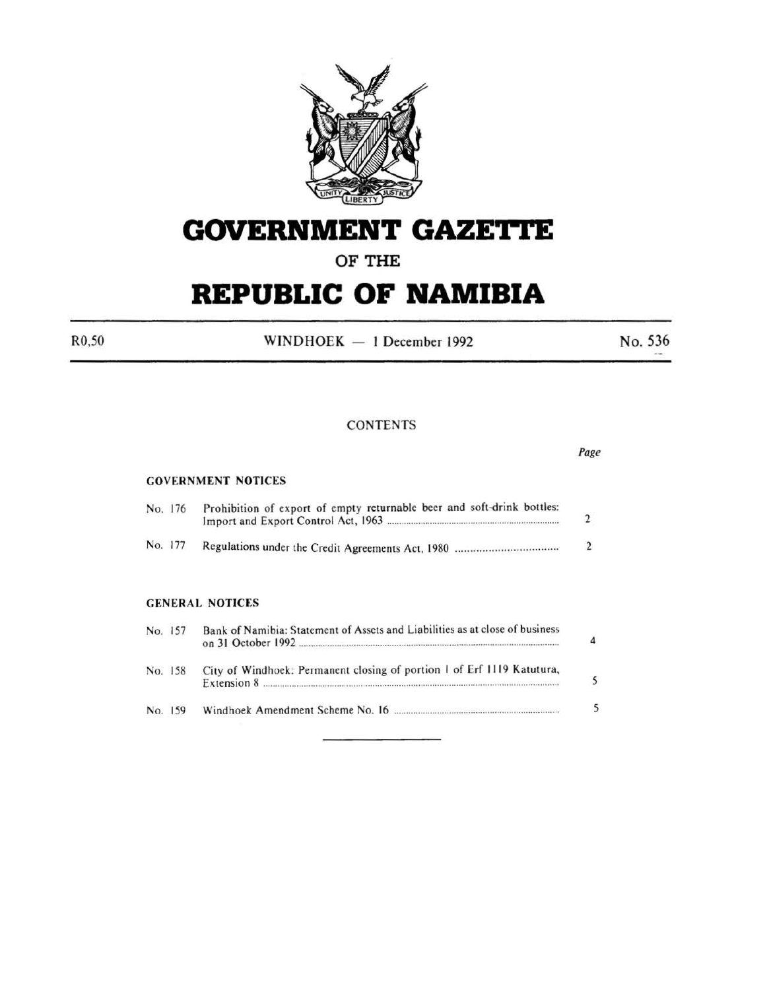

# **GOVERNMENT GAZETTE**

## OF THE

# **REPUBLIC OF NAMIBIA**

 $R0,50$  WINDHOEK - 1 December 1992 No. 536

#### **CONTENTS**

|         |                                                                                       | Page           |
|---------|---------------------------------------------------------------------------------------|----------------|
|         | <b>GOVERNMENT NOTICES</b>                                                             |                |
| No. 176 | Prohibition of export of empty returnable beer and soft-drink bottles:                | 2              |
| No. 177 |                                                                                       | $\mathfrak{D}$ |
|         | <b>GENERAL NOTICES</b>                                                                |                |
| No. 157 | Bank of Namibia: Statement of Assets and Liabilities as at close of business          |                |
| No. 158 | City of Windhoek: Permanent closing of portion 1 of Erf 1119 Katutura,<br>Extension 8 |                |
| No. 159 |                                                                                       |                |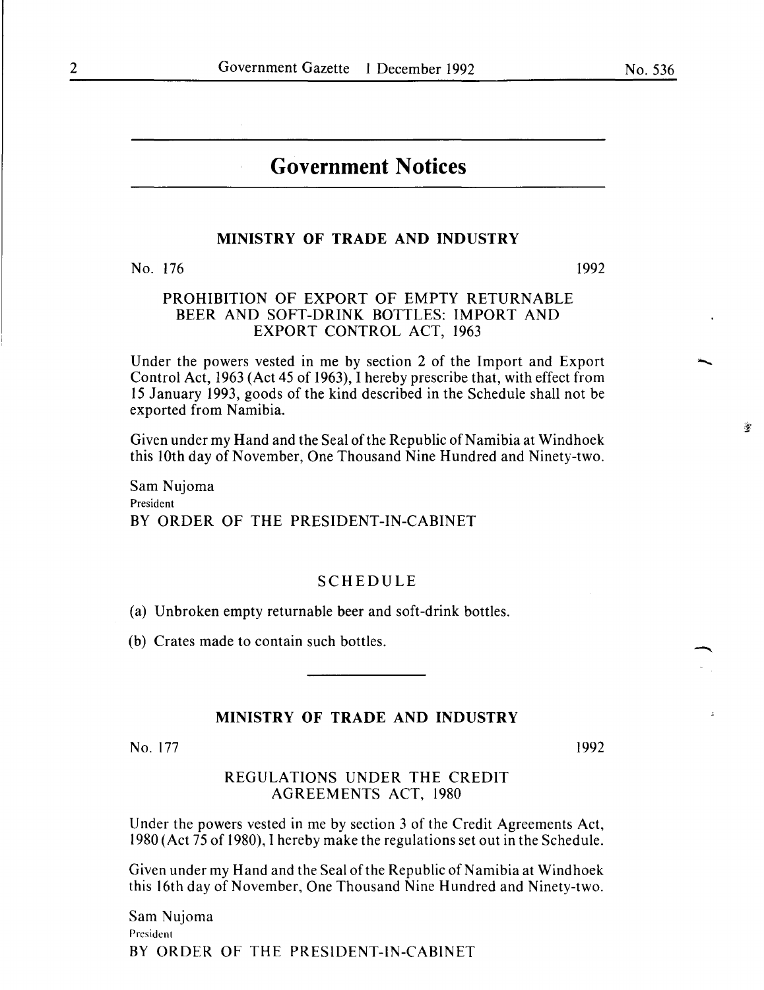$\frac{\partial}{\partial t}$ 

### **Government Notices**

#### **MINISTRY OF TRADE AND INDUSTRY**

No. 176

1992

#### PROHIBITION OF EXPORT OF EMPTY RETURNABLE BEER AND SOFT-DRINK BOTTLES: IMPORT AND EXPORT CONTROL ACT, 1963

Under the powers vested in me by section 2 of the Import and Export Control Act, 1963 (Act 45 of 1963), I hereby prescribe that, with effect from 15 January 1993, goods of the kind described in the Schedule shall not be exported from Namibia.

Given under my Hand and the Seal of the Republic of Namibia at Windhoek this lOth day of November, One Thousand Nine Hundred and Ninety-two.

Sam Nujoma President BY ORDER OF THE PRESIDENT-IN-CABINET

#### SCHEDULE

(a) Unbroken empty returnable beer and soft-drink bottles.

(b) Crates made to contain such bottles.

#### **MINISTRY OF TRADE AND INDUSTRY**

No. 177

1992

#### REGULATIONS UNDER THE CREDIT AGREEMENTS ACT, 1980

Under the powers vested in me by section 3 of the Credit Agreements Act, 1980 (Act 75 of 1980), I hereby make the regulations set out in the Schedule.

Given under my Hand and the Seal of the Republic of Namibia at Windhoek this 16th day of November, One Thousand Nine Hundred and Ninety-two.

Sam Nujoma President BY ORDER OF THE PRESIDENT-IN-CABINET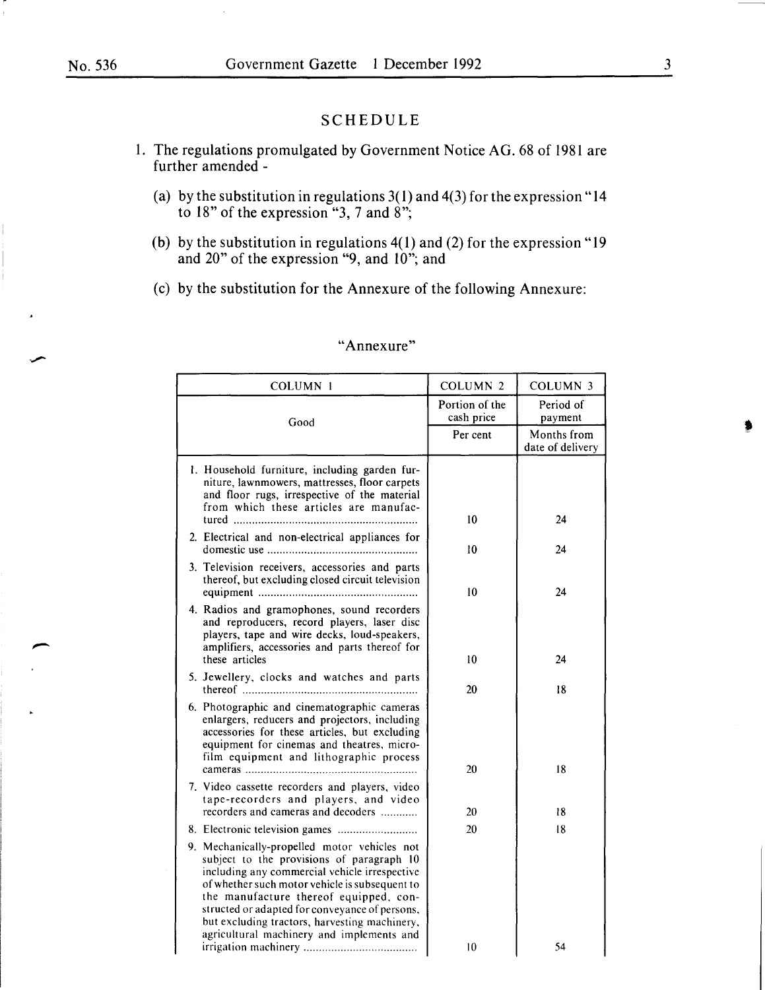#### SCHEDULE

- I. The regulations promulgated by Government Notice AG. 68 of 1981 are further amended -
	- (a) by the substitution in regulations 3(1) and 4(3) for the expression "14 to 18" of the expression "3, 7 and 8";
	- (b) by the substitution in regulations  $4(1)$  and (2) for the expression "19 and 20" of the expression "9, and 10"; and
	- (c) by the substitution for the Annexure of the following Annexure:

| COLUMN 1                                                                                                                                                                                                                                                                                                                                                                               | <b>COLUMN 2</b>              | <b>COLUMN 3</b>                 |
|----------------------------------------------------------------------------------------------------------------------------------------------------------------------------------------------------------------------------------------------------------------------------------------------------------------------------------------------------------------------------------------|------------------------------|---------------------------------|
| Good                                                                                                                                                                                                                                                                                                                                                                                   | Portion of the<br>cash price | Period of<br>payment            |
|                                                                                                                                                                                                                                                                                                                                                                                        | Per cent                     | Months from<br>date of delivery |
| 1. Household furniture, including garden fur-<br>niture, lawnmowers, mattresses, floor carpets<br>and floor rugs, irrespective of the material<br>from which these articles are manufac-                                                                                                                                                                                               | 10                           | 24                              |
| 2. Electrical and non-electrical appliances for                                                                                                                                                                                                                                                                                                                                        | 10                           | 24                              |
| 3. Television receivers, accessories and parts<br>thereof, but excluding closed circuit television                                                                                                                                                                                                                                                                                     | 10                           | 24                              |
| 4. Radios and gramophones, sound recorders<br>and reproducers, record players, laser disc<br>players, tape and wire decks, loud-speakers,<br>amplifiers, accessories and parts thereof for<br>these articles                                                                                                                                                                           | 10                           | 24                              |
| 5. Jewellery, clocks and watches and parts                                                                                                                                                                                                                                                                                                                                             | 20                           | 18                              |
| 6. Photographic and cinematographic cameras<br>enlargers, reducers and projectors, including<br>accessories for these articles, but excluding<br>equipment for cinemas and theatres, micro-<br>film equipment and lithographic process                                                                                                                                                 | 20                           | 18                              |
| 7. Video cassette recorders and players, video<br>tape-recorders and players, and video<br>recorders and cameras and decoders                                                                                                                                                                                                                                                          | 20                           | 18                              |
|                                                                                                                                                                                                                                                                                                                                                                                        | 20                           | 18                              |
| 9. Mechanically-propelled motor vehicles not<br>subject to the provisions of paragraph 10<br>including any commercial vehicle irrespective<br>of whether such motor vehicle is subsequent to<br>the manufacture thereof equipped, con-<br>structed or adapted for conveyance of persons,<br>but excluding tractors, harvesting machinery,<br>agricultural machinery and implements and |                              |                                 |
|                                                                                                                                                                                                                                                                                                                                                                                        | 10                           | 54                              |

#### "Annexure"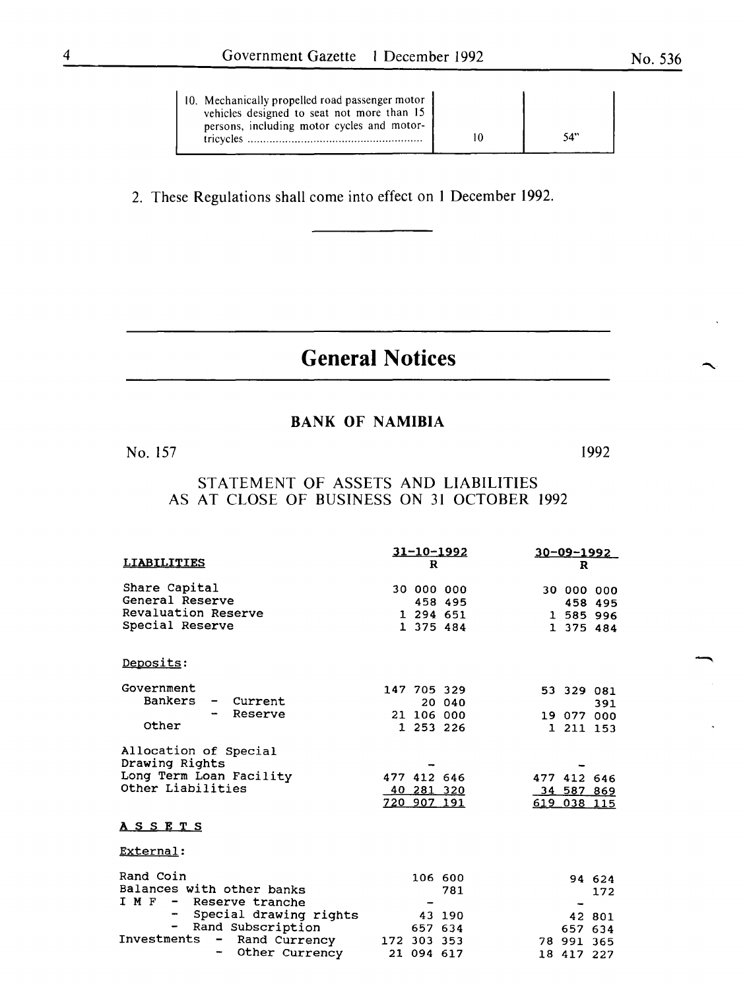2. These Regulations shall come into effect on I December 1992.

## **General Notices**

#### BANK OF NAMIBIA

No. 157

1992

STATEMENT OF ASSETS AND LIABILITIES AS AT CLOSE OF BUSINESS ON 31 OCTOBER 1992

|                                                                                         | $31 - 10 - 1992$                         | $30 - 09 - 1992$                         |  |  |
|-----------------------------------------------------------------------------------------|------------------------------------------|------------------------------------------|--|--|
| <b>LIABILITIES</b>                                                                      | R                                        | R                                        |  |  |
| Share Capital<br>General Reserve<br>Revaluation Reserve                                 | 30 000 000<br>458 495<br>1 294 651       | 30 000 000<br>458 495<br>1 585 996       |  |  |
| Special Reserve                                                                         | 1 375 484                                | 1 375 484                                |  |  |
| Deposits:                                                                               |                                          |                                          |  |  |
| Government                                                                              | 147 705 329                              | 53 329 081                               |  |  |
| Bankers<br>Current                                                                      | 20 040                                   | 391                                      |  |  |
| Reserve<br>Other                                                                        | 21 106 000                               | 19 077 000                               |  |  |
|                                                                                         | 1 253 226                                | 1 211 153                                |  |  |
| Allocation of Special<br>Drawing Rights<br>Long Term Loan Facility<br>Other Liabilities | 477 412 646<br>40 281 320<br>720 907 191 | 477 412 646<br>34 587 869<br>619 038 115 |  |  |
| A S S E T S                                                                             |                                          |                                          |  |  |
| External:                                                                               |                                          |                                          |  |  |
| Rand Coin<br>Balances with other banks<br>I M F - Reserve tranche                       | 106 600<br>781                           | 94 624<br>172                            |  |  |
| Special drawing rights<br>$-$                                                           | 43 190                                   | 42 801                                   |  |  |
| Rand Subscription<br>$\overline{\phantom{a}}$                                           | 657 634                                  | 657 634                                  |  |  |
| Investments<br>Rand Currency<br>$-$                                                     | 172 303 353                              | 78 991 365                               |  |  |
| Other Currency                                                                          | 21 094 617                               | 18 417 227                               |  |  |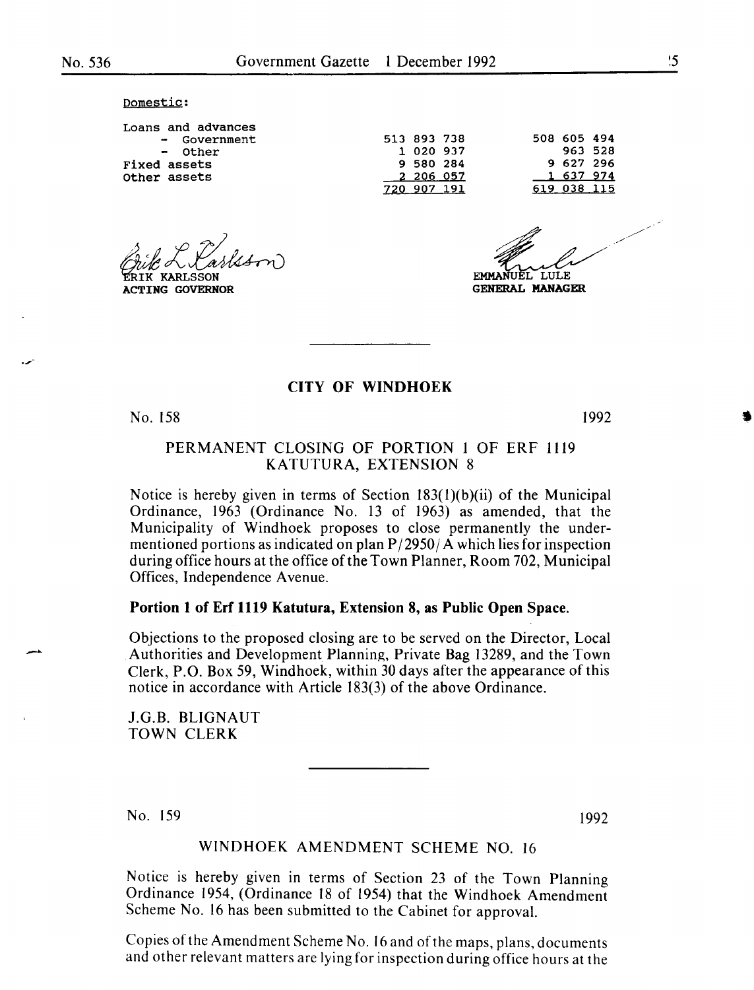Domestic:

Loans and advances - Government - Other Fixed assets Other assets

ACTING GOVERNOR

513 893 738 1 020 937 9 580 284 2 206 057 720 907 191 508 605 494

963 528 9 627 296 637 974 619 038 115

LULE.

**GENERAL MANAGER** 

#### CITY OF WINDHOEK

No. 158

1992

#### PERMANENT CLOSING OF PORTION 1 OF ERF 1119 KATUTURA, EXTENSION 8

Notice is hereby given in terms of Section  $183(1)(b)(ii)$  of the Municipal Ordinance, 1963 (Ordinance No. l3 of 1963) as amended, that the Municipality of Windhoek proposes to close permanently the undermentioned portions as indicated on plan  $P/2950/A$  which lies for inspection during office hours at the office of the Town Planner, Room 702, Municipal Offices, Independence A venue.

#### Portion 1 of Erf 1119 Katutura, Extension 8, as Public Open Space.

Objections to the proposed closing are to be served on the Director, Local Authorities and Development Planning, Private Bag 13289, and the Town Clerk, P.O. Box 59, Windhoek, within 30 days after the appearance of this notice in accordance with Article 183(3) of the above Ordinance.

J.G.B. BLIGNAUT TOWN CLERK

No. 159

1992

#### WINDHOEK AMENDMENT SCHEME NO. 16

Notice is hereby given in terms of Section 23 of the Town Planning Ordinance 1954, (Ordinance 18 of 1954) that the Windhoek Amendment Scheme No. 16 has been submitted to the Cabinet for approval.

Copies of the Amendment Scheme No. 16 and of the maps, plans, documents and other relevant matters are lying for inspection during office hours at the •